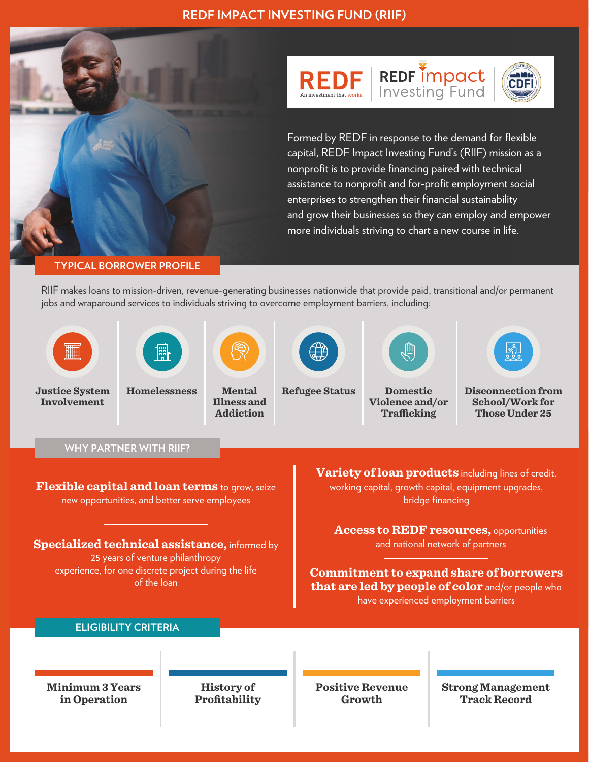





CDF

## **TYPICAL BORROWER PROFILE**

RIIF makes loans to mission-driven, revenue-generating businesses nationwide that provide paid, transitional and/or permanent jobs and wraparound services to individuals striving to overcome employment barriers, including: